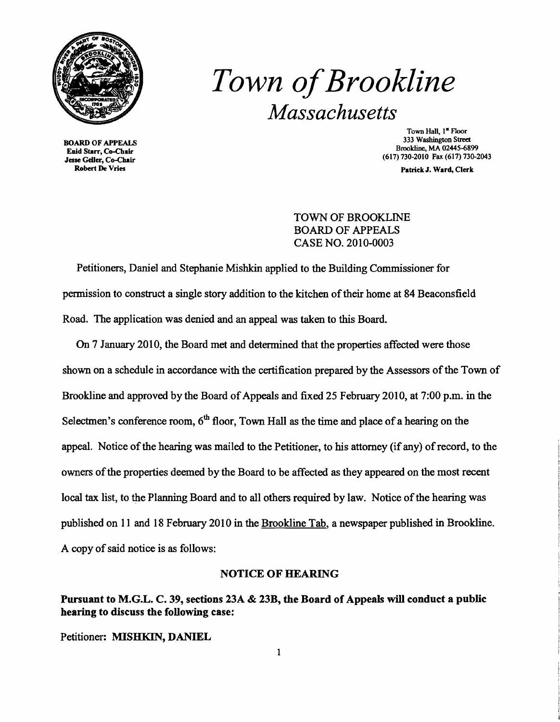

BOARD OF APPEALS Enid Starr, Co-Chair Jesse Geller, Co-Chair Robert De Vries

# *Town ofBrookline Massachusetts*

Town Hall, 1<sup>ª</sup> Floor 333 Washington Street Brookline, MA 02445-6899 (617) 730-2010 Fax (617) 730-2043

Patrick J. Ward, Clerk

TOWN OF BROOKLINE BOARD OF APPEALS CASE NO. 2010-0003

Petitioners, Daniel and Stephanie Mishkin applied to the Building Commissioner for permission to construct a single story addition to the kitchen of their home at 84 Beaconsfield Road. The application was denied and an appeal was taken to this Board.

On 7 January 2010, the Board met and determined that the properties affected were those shown on a schedule in accordance with the certification prepared by the Assessors of the Town of Brookline and approved by the Board of Appeals and fixed 25 February 2010, at 7:00 p.m. in the Selectmen's conference room,  $6<sup>th</sup>$  floor, Town Hall as the time and place of a hearing on the appeal. Notice of the hearing was mailed to the Petitioner, to his attorney (if any) of record, to the owners ofthe properties deemed by the Board to be affected as they appeared on the most recent local tax list, to the Planning Board and to all others required by law. Notice of the hearing was published on 11 and 18 February 2010 in the Brookline Tab, a newspaper published in Brookline. A copy of said notice is as follows:

### NOTICE OF HEARING

Pursuant to M.G.L. C. 39, sections 23A & 23B, the Board of Appeals will conduct a public hearing to discuss the following case:

Petitioner: MISHKIN, DANIEL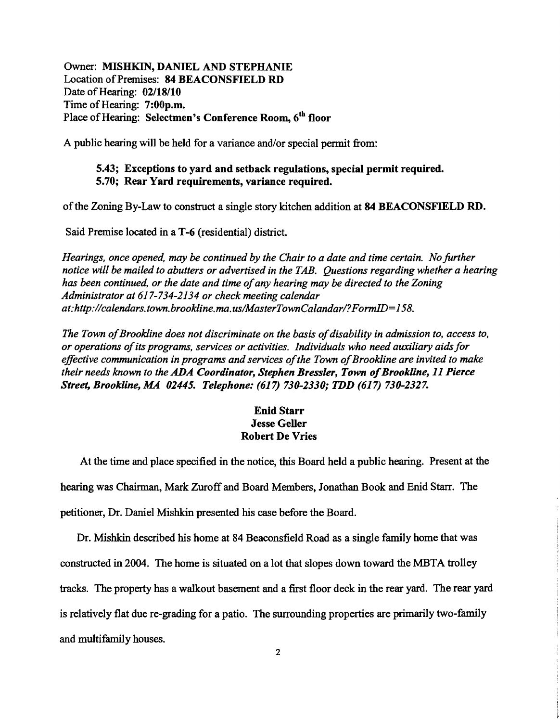Owner: MISHKIN, DANIEL AND STEPHANIE Location of Premises: 84 BEACONSFIELD RD Date of Hearing: 02/18/10 Time of Hearing: 7:00p.m. Place of Hearing: Selectmen's Conference Room, 6<sup>th</sup> floor

A public hearing will be held for a variance and/or special permit from:

#### 5.43; Exceptions to yard and setback regulations, special permit required. 5.70; Rear Yard requirements, variance required.

ofthe Zoning By-Law to construct a single story kitchen addition at 84 BEACONSFIELD RD.

Said Premise located in a T-6 (residential) district.

*Hearings, once opened,* may *be continued by the Chair to a date and time certain. No further notice will be mailed to abutters or advertised in the TAB. Questions regarding whether a hearing has been continued, or the date and time ofany hearing may be directed to the Zoning Administrator at* 617-734-2134 *or check meeting calendar at:http://calendars.town.brookline.ma.us/MasterTownCalandar/?FormID=158.* 

*The Town of Brookline does not discriminate on the basis of disability in admission to, access to, or operations ofits programs, services or activities. Individuals who need auxiliary aidsfor*  effective communication in programs and services of the Town of Brookline are invited to make *their needs known to the ADA Coordinator, Stephen Bressler, Town of Brookline, 11 Pierce Street, Brookline, MA 02445. Telephone:* (617) *730-2330; TDD* (617) *730-2327.* 

## Enid Starr Jesse Geller Robert De Vries

At the time and place specified in the notice, this Board held a public hearing. Present at the hearing was Chairman, Mark Zuroff and Board Members, Jonathan Book and Enid Starr. The petitioner, Dr. Daniel Mishkin presented his case before the Board.

Dr. Mishkin described his home at 84 Beaconsfield Road as a single family home that was constructed in 2004. The home is situated on a lot that slopes down toward the MBTA trolley tracks. The property has a walkout basement and a first floor deck in the rear yard. The rear yard is relatively flat due re-grading for a patio. The surrounding properties are primarily two-family and multifamily houses.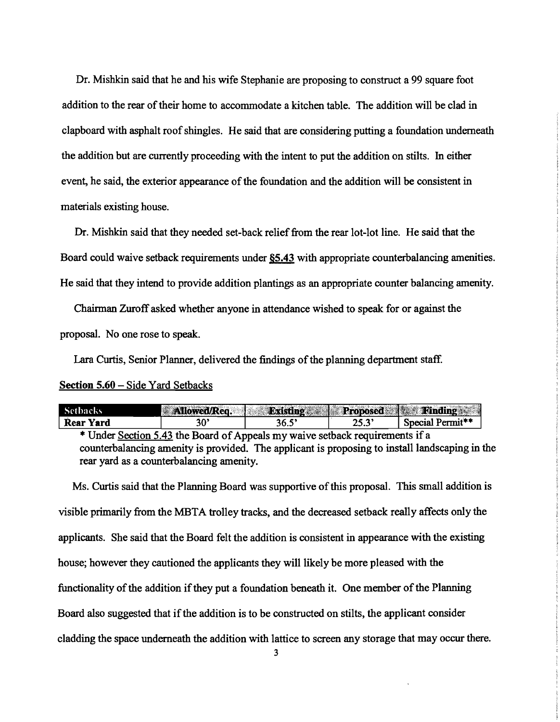Dr. Mishkin said that he and his wife Stephanie are proposing to construct a 99 square foot addition to the rear of their home to accommodate a kitchen table. The addition will be clad in clapboard with asphalt roofshingles. He said that are considering putting a foundation underneath the addition but are currently proceeding with the intent to put the addition on stilts. In either event, he said, the exterior appearance of the foundation and the addition will be consistent in materials existing house.

Dr. Mishkin said that they needed set-back relief from the rear lot-lot line. He said that the Board could waive setback requirements under §5.43 with appropriate counterbalancing amenities. He said that they intend to provide addition plantings as an appropriate counter balancing amenity.

Chairman Zuroff asked whether anyone in attendance wished to speak for or against the proposal. No one rose to speak.

Lara Curtis, Senior Planner, delivered the findings of the planning department staff.

#### Section 5.60 – Side Yard Setbacks

| Setbacks  | <b>Allowed/Red</b> | <b>Wristing Communisties</b> | Proposed 1<br>2422 | <b>Finding Allen</b>         |
|-----------|--------------------|------------------------------|--------------------|------------------------------|
| Rear Yard | ж                  | 36.5                         | <br>25.3           | Special Permit <sup>**</sup> |
| ---       |                    |                              |                    | . .                          |

\* Under Section 5.43 the Board of Appeals my waive setback requirements if a counterbalancing amenity is provided. The applicant is proposing to install landscaping in the rear yard as a counterbalancing amenity.

Ms. Curtis said that the Planning Board was supportive of this proposal. This small addition is visible primarily from the MBTA trolley tracks, and the decreased setback really affects only the applicants. She said that the Board felt the addition is consistent in appearance with the existing house; however they cautioned the applicants they will likely be more pleased with the functionality of the addition if they put a foundation beneath it. One member of the Planning Board also suggested that if the addition is to be constructed on stilts, the applicant consider cladding the space underneath the addition with lattice to screen any storage that may occur there.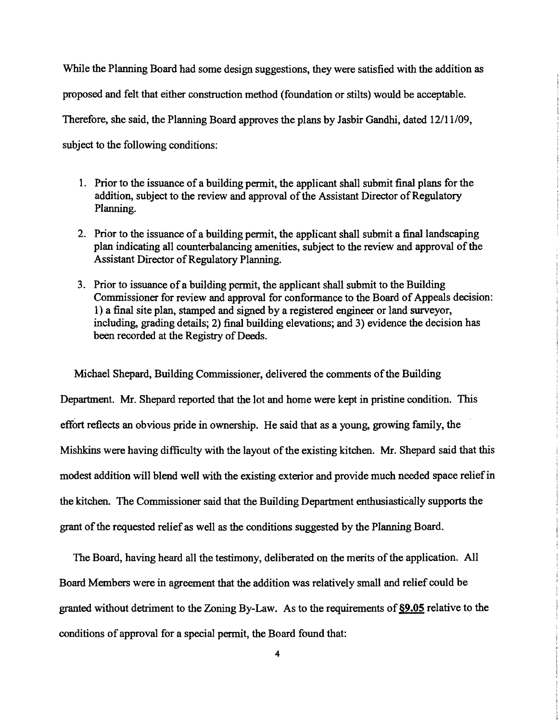While the Planning Board had some design suggestions, they were satisfied with the addition as proposed and felt that either construction method (foundation or stilts) would be acceptable. Therefore, she said, the Planning Board approves the plans by Jasbir Gandhi, dated 12/11/09, subject to the following conditions:

- 1. Prior to the issuance of a building permit, the applicant shall submit final plans for the addition, subject to the review and approval of the Assistant Director of Regulatory Planning.
- 2. Prior to the issuance of a building permit, the applicant shall submit a final landscaping plan indicating all counterbalancing amenities, subject to the review and approval of the Assistant Director of Regulatory Planning.
- 3. Prior to issuance of a building permit, the applicant shall submit to the Building Commissioner for review and approval for conformance to the Board of Appeals decision: 1) a final site plan, stamped and signed by a registered engineer or land surveyor, including, grading details; 2) final building elevations; and 3) evidence the decision has been recorded at the Registry of Deeds.

Michael Shepard, Building Commissioner, delivered the comments of the Building Department. Mr. Shepard reported that the lot and home were kept in pristine condition. This effort reflects an obvious pride in ownership. He said that as a young, growing family, the Mishkins were having difficulty with the layout of the existing kitchen. Mr. Shepard said that this modest addition will blend well with the existing exterior and provide much needed space relief in the kitchen. The Commissioner said that the Building Department enthusiastically supports the grant of the requested relief as well as the conditions suggested by the Planning Board.

The Board, having heard all the testimony, deliberated on the merits of the application. All Board Members were in agreement that the addition was relatively small and relief could be granted without detriment to the Zoning By-Law. As to the requirements of§9.05 relative to the conditions of approval for a special permit, the Board found that: